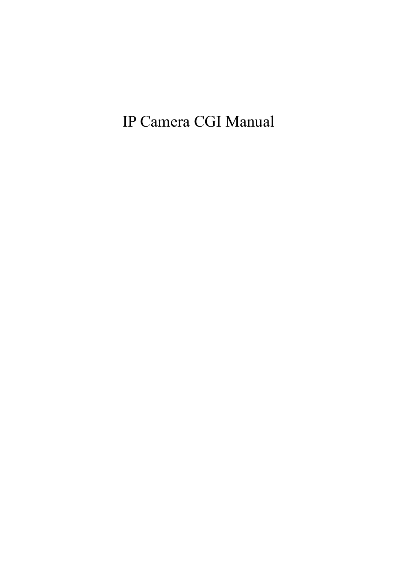IP Camera CGI Manual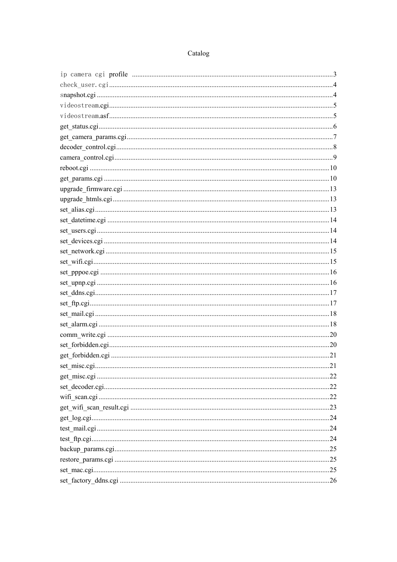#### Catalog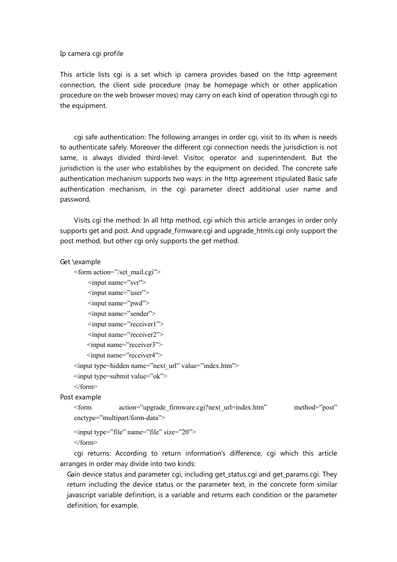#### Ip camera cgi profile

This article lists cgi is a set which ip camera provides based on the http agreement connection, the client side procedure (may be homepage which or other application procedure on the web browser moves) may carry on each kind of operation through cgi to the equipment.

 cgi safe authentication: The following arranges in order cgi, visit to its when is needs to authenticate safely. Moreover the different cgi connection needs the jurisdiction is not same, is always divided third-level: Visitor, operator and superintendent. But the jurisdiction is the user who establishes by the equipment on decided. The concrete safe authentication mechanism supports two ways: in the http agreement stipulated Basic safe authentication mechanism, in the cgi parameter direct additional user name and password.

 Visits cgi the method: In all http method, cgi which this article arranges in order only supports get and post. And upgrade\_firmware.cgi and upgrade\_htmls.cgi only support the post method, but other cgi only supports the get method.

#### Get \example

```
<form action="/set_mail.cgi"> 
    <input name="svr"> 
    <input name="user"> 
    <input name="pwd"> 
    <input name="sender"> 
    <input name="receiver1"> 
    <input name="receiver2"> 
    <input name="receiver3"> 
    <input name="receiver4"> 
<input type=hidden name="next_url" value="index.htm"> 
<input type=submit value="ok"> 
</form>
```
Post example

<form action="upgrade\_firmware.cgi?next\_url=index.htm" method="post" enctype="multipart/form-data">

```
<input type="file" name="file" size="20"> 
</form>
```
 cgi returns: According to return information's difference, cgi which this article arranges in order may divide into two kinds:

Gain device status and parameter cgi, including get status.cgi and get params.cgi. They return including the device status or the parameter text, in the concrete form similar javascript variable definition, is a variable and returns each condition or the parameter definition, for example,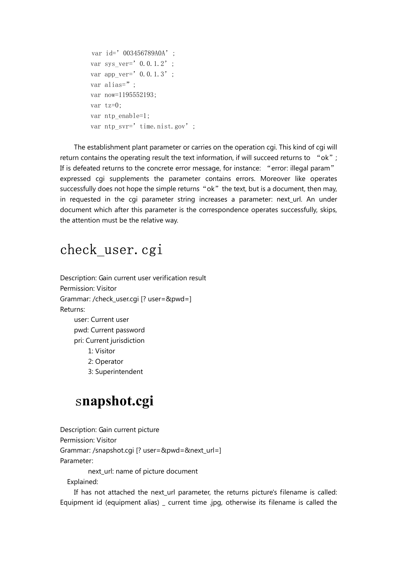```
var id=' 003456789A0A';
var sys ver=' 0.0.1.2';
var app_ver=' 0.0.1.3';
var alias=";
 var now=1195552193; 
 var tz=0; 
var ntp enable=1;
var ntp_svr=' time.nist.gov';
```
 The establishment plant parameter or carries on the operation cgi. This kind of cgi will return contains the operating result the text information, if will succeed returns to "ok"; If is defeated returns to the concrete error message, for instance: "error: illegal param" expressed cgi supplements the parameter contains errors. Moreover like operates successfully does not hope the simple returns "ok" the text, but is a document, then may, in requested in the cgi parameter string increases a parameter: next\_url. An under document which after this parameter is the correspondence operates successfully, skips, the attention must be the relative way.

#### check\_user.cgi

Description: Gain current user verification result Permission: Visitor Grammar: /check\_user.cgi [? user=&pwd=] Returns: user: Current user pwd: Current password pri: Current jurisdiction 1: Visitor 2: Operator 3: Superintendent

### s**napshot.cgi**

Description: Gain current picture Permission: Visitor Grammar: /snapshot.cgi [? user=&pwd=&next\_url=] Parameter: next\_url: name of picture document Explained:

If has not attached the next url parameter, the returns picture's filename is called: Equipment id (equipment alias) \_ current time .jpg, otherwise its filename is called the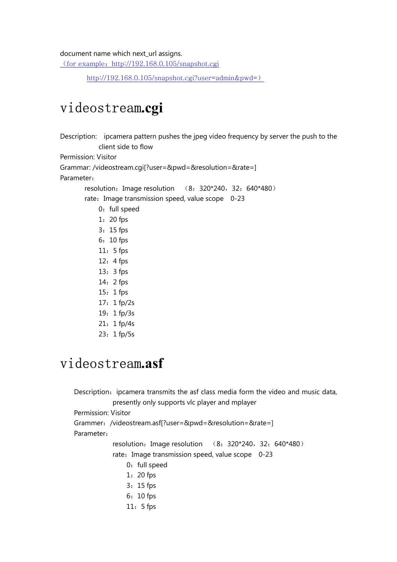#### document name which next\_url assigns.

(for example: http://192.168.0.105/snapshot.cgi

http://192.168.0.105/snapshot.cgi?user=admin&pwd=)

## videostream**.cgi**

Description: ipcamera pattern pushes the jpeg video frequency by server the push to the client side to flow Permission: Visitor Grammar: /videostream.cgi[?user=&pwd=&resolution=&rate=] Parameter: resolution: Image resolution (8: 320\*240, 32: 640\*480) rate: Image transmission speed, value scope 0-23 0: full speed 1:20 fps 3:15 fps 6:10 fps 11:5 fps 12:4 fps 13:3 fps 14:2 fps 15:1 fps 17:1 fp/2s 19:1 fp/3s 21:1 fp/4s 23:1 fp/5s

#### videostream**.asf**

Description: ipcamera transmits the asf class media form the video and music data, presently only supports vlc player and mplayer Permission: Visitor Grammer:/videostream.asf[?user=&pwd=&resolution=&rate=] Parameter: resolution: Image resolution (8: 320\*240, 32: 640\*480) rate: Image transmission speed, value scope 0-23 0: full speed 1:20 fps 3:15 fps 6:10 fps 11:5 fps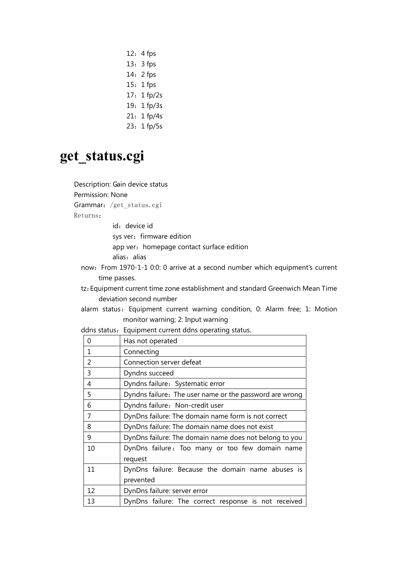- 12:4 fps 13:3 fps 14:2 fps 15:1 fps 17:1 fp/2s 19:1 fp/3s
- 21:1 fp/4s
- 23:1 fp/5s

#### **get\_status.cgi**

Description: Gain device status Permission: None Grammar: /get status.cgi Returns: id: device id sys ver: firmware edition app ver: homepage contact surface edition alias: alias now:From 1970-1-1 0:0: 0 arrive at a second number which equipment's current time passes. tz:Equipment current time zone establishment and standard Greenwich Mean Time deviation second number alarm status: Equipment current warning condition, 0: Alarm free; 1: Motion monitor warning; 2: Input warning ddns status: Equipment current ddns operating status. 0 Has not operated 1 Connecting 2 Connection server defeat 3 Dyndns succeed 4 Dyndns failure:Systematic error 5 Dyndns failure:The user name or the password are wrong 6 | Dyndns failure: Non-credit user 7 DynDns failure: The domain name form is not correct 8 DynDns failure: The domain name does not exist 9 DynDns failure: The domain name does not belong to you 10 | DynDns failure: Too many or too few domain name request 11 DynDns failure: Because the domain name abuses is prevented 12 DynDns failure: server error 13 DynDns failure: The correct response is not received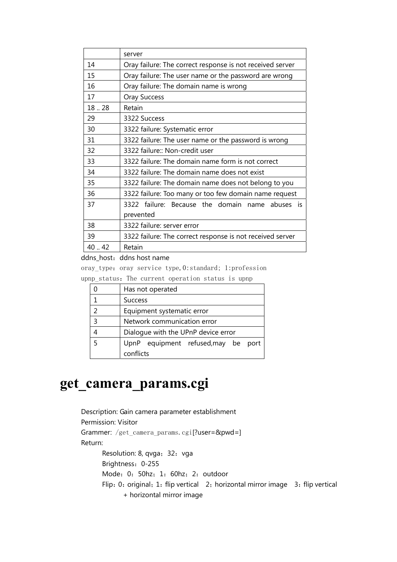|       | server                                                    |
|-------|-----------------------------------------------------------|
| 14    | Oray failure: The correct response is not received server |
| 15    | Oray failure: The user name or the password are wrong     |
| 16    | Oray failure: The domain name is wrong                    |
| 17    | <b>Oray Success</b>                                       |
| 18.28 | Retain                                                    |
| 29    | 3322 Success                                              |
| 30    | 3322 failure: Systematic error                            |
| 31    | 3322 failure: The user name or the password is wrong      |
| 32    | 3322 failure:: Non-credit user                            |
| 33    | 3322 failure: The domain name form is not correct         |
| 34    | 3322 failure: The domain name does not exist              |
| 35    | 3322 failure: The domain name does not belong to you      |
| 36    | 3322 failure: Too many or too few domain name request     |
| 37    | 3322 failure: Because the domain name abuses is           |
|       | prevented                                                 |
| 38    | 3322 failure: server error                                |
| 39    | 3322 failure: The correct response is not received server |
| 40.42 | Retain                                                    |

ddns\_host: ddns host name

oray\_type: oray service type, 0:standard; 1:profession

upnp status: The current operation status is upnp

|               | Has not operated                    |  |  |
|---------------|-------------------------------------|--|--|
|               | <b>Success</b>                      |  |  |
| $\mathcal{P}$ | Equipment systematic error          |  |  |
| 3             | Network communication error         |  |  |
|               | Dialogue with the UPnP device error |  |  |
| 5             | UpnP equipment refused, may be port |  |  |
|               | conflicts                           |  |  |

# **get\_camera\_params.cgi**

Description: Gain camera parameter establishment Permission: Visitor Grammer: /get\_camera\_params.cgi[?user=&pwd=] Return: Resolution: 8, qvga; 32: vga Brightness:0-255 Mode: 0: 50hz; 1: 60hz; 2: outdoor Flip: 0: original; 1: flip vertical 2; horizontal mirror image 3: flip vertical + horizontal mirror image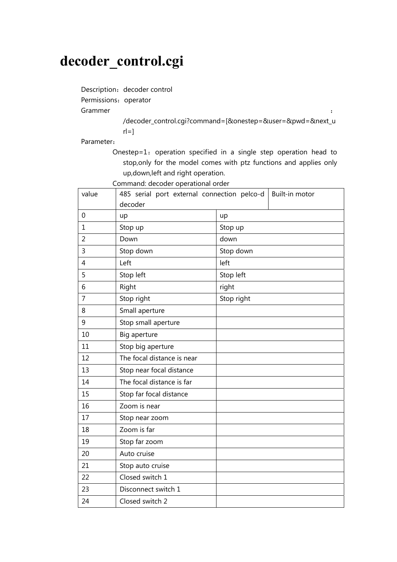## **decoder\_control.cgi**

Description: decoder control

Permissions: operator

Grammer : the contract of the contract of the contract of the contract of the contract of the contract of the contract of the contract of the contract of the contract of the contract of the contract of the contract of the

/decoder\_control.cgi?command=[&onestep=&user=&pwd=&next\_u  $r = 1$ 

Parameter:

Onestep=1: operation specified in a single step operation head to stop,only for the model comes with ptz functions and applies only up,down,left and right operation.

Command: decoder operational order

| value          | 485 serial port external connection pelco-d<br>Built-in motor |            |
|----------------|---------------------------------------------------------------|------------|
|                | decoder                                                       |            |
| $\mathbf 0$    | up                                                            | up         |
| $\mathbf{1}$   | Stop up                                                       | Stop up    |
| $\overline{2}$ | Down                                                          | down       |
| 3              | Stop down                                                     | Stop down  |
| $\overline{4}$ | Left                                                          | left       |
| 5              | Stop left                                                     | Stop left  |
| 6              | Right                                                         | right      |
| 7              | Stop right                                                    | Stop right |
| 8              | Small aperture                                                |            |
| 9              | Stop small aperture                                           |            |
| 10             | Big aperture                                                  |            |
| 11             | Stop big aperture                                             |            |
| 12             | The focal distance is near                                    |            |
| 13             | Stop near focal distance                                      |            |
| 14             | The focal distance is far                                     |            |
| 15             | Stop far focal distance                                       |            |
| 16             | Zoom is near                                                  |            |
| 17             | Stop near zoom                                                |            |
| 18             | Zoom is far                                                   |            |
| 19             | Stop far zoom                                                 |            |
| 20             | Auto cruise                                                   |            |
| 21             | Stop auto cruise                                              |            |
| 22             | Closed switch 1                                               |            |
| 23             | Disconnect switch 1                                           |            |
| 24             | Closed switch 2                                               |            |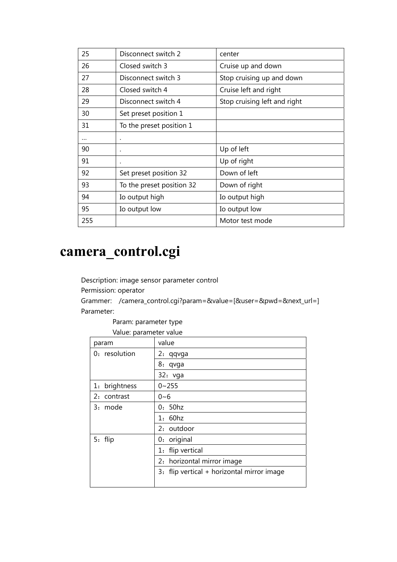| 25       | Disconnect switch 2       | center                       |
|----------|---------------------------|------------------------------|
| 26       | Closed switch 3           | Cruise up and down           |
| 27       | Disconnect switch 3       | Stop cruising up and down    |
| 28       | Closed switch 4           | Cruise left and right        |
| 29       | Disconnect switch 4       | Stop cruising left and right |
| 30       | Set preset position 1     |                              |
| 31       | To the preset position 1  |                              |
| $\cdots$ | ٠                         |                              |
| 90       | ٠                         | Up of left                   |
| 91       | ٠                         | Up of right                  |
| 92       | Set preset position 32    | Down of left                 |
| 93       | To the preset position 32 | Down of right                |
| 94       | Io output high            | Io output high               |
| 95       | Io output low             | Io output low                |
| 255      |                           | Motor test mode              |

# **camera\_control.cgi**

Description: image sensor parameter control

Permission: operator

Grammer: /camera\_control.cgi?param=&value=[&user=&pwd=&next\_url=] Parameter:

Param: parameter type

Value: parameter value

| param         | value                                      |
|---------------|--------------------------------------------|
| 0: resolution | 2: qqvga                                   |
|               | 8: qvga                                    |
|               | 32: vga                                    |
| 1: brightness | $0 - 255$                                  |
| 2: contrast   | $0 - 6$                                    |
| 3: mode       | 0:50hz                                     |
|               | 1: 60hz                                    |
|               | 2: outdoor                                 |
| 5: flip       | 0: original                                |
|               | 1: flip vertical                           |
|               | 2: horizontal mirror image                 |
|               | 3: flip vertical + horizontal mirror image |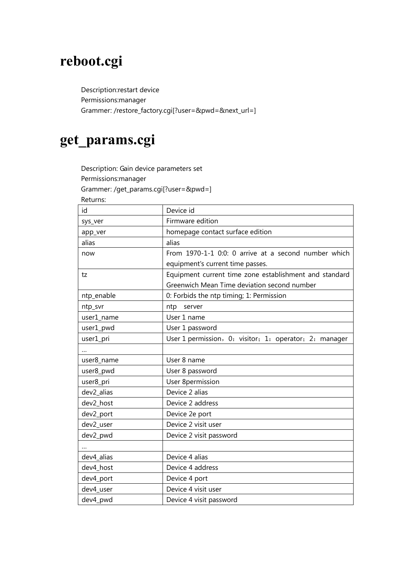# **reboot.cgi**

Description:restart device Permissions:manager Grammer: /restore\_factory.cgi[?user=&pwd=&next\_url=]

# **get\_params.cgi**

Description: Gain device parameters set Permissions:manager Grammer: /get\_params.cgi[?user=&pwd=]

Returns:

| id         | Device id                                              |
|------------|--------------------------------------------------------|
| sys_ver    | Firmware edition                                       |
| app_ver    | homepage contact surface edition                       |
| alias      | alias                                                  |
| now        | From 1970-1-1 0:0: 0 arrive at a second number which   |
|            | equipment's current time passes.                       |
| tz         | Equipment current time zone establishment and standard |
|            | Greenwich Mean Time deviation second number            |
| ntp_enable | 0: Forbids the ntp timing; 1: Permission               |
| ntp_svr    | ntp<br>server                                          |
| user1_name | User 1 name                                            |
| user1_pwd  | User 1 password                                        |
| user1_pri  | User 1 permission, 0: visitor; 1: operator; 2: manager |
|            |                                                        |
| user8 name | User 8 name                                            |
| user8_pwd  | User 8 password                                        |
| user8_pri  | <b>User 8permission</b>                                |
| dev2_alias | Device 2 alias                                         |
| dev2 host  | Device 2 address                                       |
| dev2_port  | Device 2e port                                         |
| dev2_user  | Device 2 visit user                                    |
| dev2_pwd   | Device 2 visit password                                |
|            |                                                        |
| dev4_alias | Device 4 alias                                         |
| dev4_host  | Device 4 address                                       |
| dev4_port  | Device 4 port                                          |
| dev4_user  | Device 4 visit user                                    |
| dev4_pwd   | Device 4 visit password                                |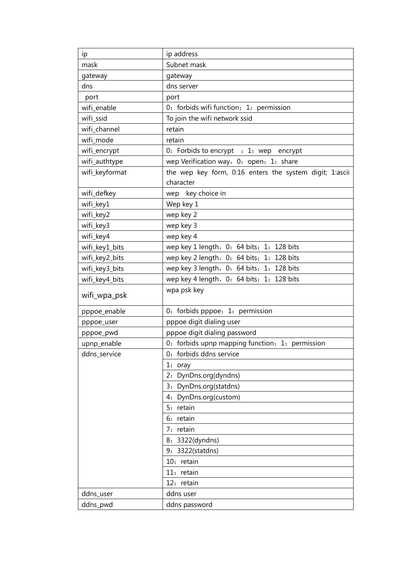| ip             | ip address                                              |
|----------------|---------------------------------------------------------|
| mask           | Subnet mask                                             |
| gateway        | gateway                                                 |
| dns            | dns server                                              |
| port           | port                                                    |
| wifi_enable    | 0: forbids wifi function; 1: permission                 |
| wifi_ssid      | To join the wifi network ssid                           |
| wifi channel   | retain                                                  |
| wifi_mode      | retain                                                  |
| wifi_encrypt   | 0: Forbids to encrypt ; 1: wep encrypt                  |
| wifi_authtype  | wep Verification way, 0: open; 1: share                 |
| wifi_keyformat | the wep key form, 0:16 enters the system digit; 1:ascii |
|                | character                                               |
| wifi_defkey    | wep key choice in                                       |
| wifi_key1      | Wep key 1                                               |
| wifi_key2      | wep key 2                                               |
| wifi_key3      | wep key 3                                               |
| wifi_key4      | wep key 4                                               |
| wifi_key1_bits | wep key 1 length, 0: 64 bits; 1: 128 bits               |
| wifi_key2_bits | wep key 2 length, 0: 64 bits; 1: 128 bits               |
| wifi_key3_bits | wep key 3 length, 0: 64 bits; 1: 128 bits               |
| wifi_key4_bits | wep key 4 length, 0: 64 bits; 1: 128 bits               |
| wifi_wpa_psk   | wpa psk key                                             |
| pppoe_enable   | 0: forbids pppoe; 1: permission                         |
| pppoe_user     | pppoe digit dialing user                                |
| pppoe_pwd      | pppoe digit dialing password                            |
| upnp_enable    | 0: forbids upnp mapping function; 1: permission         |
| ddns_service   | 0: forbids ddns service                                 |
|                | 1:<br>oray                                              |
|                | 2: DynDns.org(dyndns)                                   |
|                | 3: DynDns.org(statdns)                                  |
|                | 4: DynDns.org(custom)                                   |
|                | 5: retain                                               |
|                | 6: retain                                               |
|                | 7: retain                                               |
|                | 8: 3322(dyndns)                                         |
|                | 9: 3322(statdns)                                        |
|                | 10: retain                                              |
|                | 11: retain                                              |
|                | 12: retain                                              |
| ddns_user      | ddns user                                               |
| ddns_pwd       | ddns password                                           |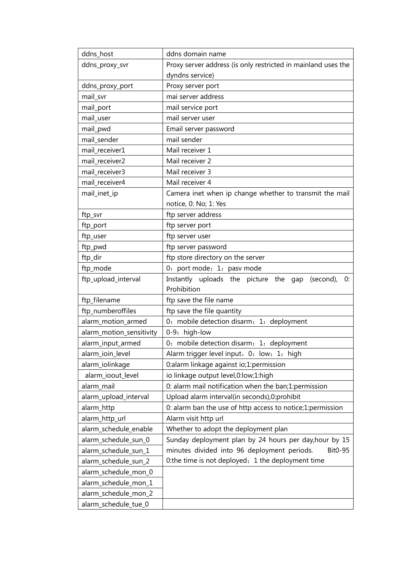| ddns_host                | ddns domain name                                              |
|--------------------------|---------------------------------------------------------------|
| ddns_proxy_svr           | Proxy server address (is only restricted in mainland uses the |
|                          | dyndns service)                                               |
| ddns_proxy_port          | Proxy server port                                             |
| mail_svr                 | mai server address                                            |
| mail_port                | mail service port                                             |
| mail_user                | mail server user                                              |
| mail_pwd                 | Email server password                                         |
| mail_sender              | mail sender                                                   |
| mail_receiver1           | Mail receiver 1                                               |
| mail_receiver2           | Mail receiver 2                                               |
| mail_receiver3           | Mail receiver 3                                               |
| mail_receiver4           | Mail receiver 4                                               |
| mail_inet_ip             | Camera inet when ip change whether to transmit the mail       |
|                          | notice, 0: No; 1: Yes                                         |
| ftp_svr                  | ftp server address                                            |
| ftp_port                 | ftp server port                                               |
| ftp_user                 | ftp server user                                               |
| ftp_pwd                  | ftp server password                                           |
| ftp_dir                  | ftp store directory on the server                             |
| ftp_mode                 | 0: port mode; 1: pasv mode                                    |
| ftp_upload_interval      | Instantly uploads the picture the gap<br>(second),<br>0:      |
|                          | Prohibition                                                   |
| ftp_filename             | ftp save the file name                                        |
| ftp_numberoffiles        | ftp save the file quantity                                    |
| alarm_motion_armed       | 0: mobile detection disarm; 1: deployment                     |
| alarm_motion_sensitivity | 0-9: high-low                                                 |
| alarm_input_armed        | 0: mobile detection disarm; 1: deployment                     |
| alarm_ioin_level         | Alarm trigger level input, 0: low; 1: high                    |
| alarm_iolinkage          | 0:alarm linkage against io;1:permission                       |
| alarm_ioout_level        | io linkage output level,0:low;1:high                          |
| alarm mail               | 0: alarm mail notification when the ban;1:permission          |
| alarm_upload_interval    | Upload alarm interval(in seconds), 0: prohibit                |
| alarm_http               | 0: alarm ban the use of http access to notice;1:permission    |
| alarm_http_url           | Alarm visit http url                                          |
| alarm_schedule_enable    | Whether to adopt the deployment plan                          |
| alarm_schedule_sun_0     | Sunday deployment plan by 24 hours per day, hour by 15        |
| alarm_schedule_sun_1     | minutes divided into 96 deployment periods.<br>Bit0-95        |
| alarm_schedule_sun_2     | 0:the time is not deployed; 1 the deployment time             |
| alarm_schedule_mon_0     |                                                               |
| alarm_schedule_mon_1     |                                                               |
| alarm_schedule_mon_2     |                                                               |
| alarm_schedule_tue_0     |                                                               |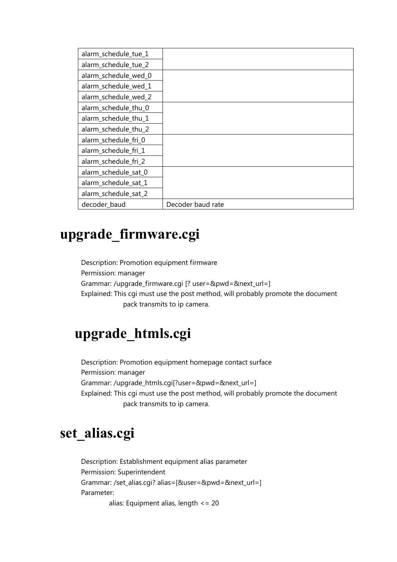| alarm_schedule_tue_1 |                   |
|----------------------|-------------------|
| alarm_schedule_tue_2 |                   |
| alarm_schedule_wed_0 |                   |
| alarm_schedule_wed_1 |                   |
| alarm_schedule_wed_2 |                   |
| alarm_schedule_thu_0 |                   |
| alarm_schedule_thu_1 |                   |
| alarm_schedule_thu_2 |                   |
| alarm_schedule_fri_0 |                   |
| alarm_schedule_fri_1 |                   |
| alarm_schedule_fri_2 |                   |
| alarm_schedule_sat_0 |                   |
| alarm_schedule_sat_1 |                   |
| alarm_schedule_sat_2 |                   |
| decoder_baud         | Decoder baud rate |

# **upgrade\_firmware.cgi**

Description: Promotion equipment firmware Permission: manager Grammar: /upgrade\_firmware.cgi [? user=&pwd=&next\_url=] Explained: This cgi must use the post method, will probably promote the document pack transmits to ip camera.

# **upgrade\_htmls.cgi**

Description: Promotion equipment homepage contact surface Permission: manager Grammar: /upgrade\_htmls.cgi[?user=&pwd=&next\_url=] Explained: This cgi must use the post method, will probably promote the document pack transmits to ip camera.

# **set\_alias.cgi**

Description: Establishment equipment alias parameter Permission: Superintendent Grammar: /set\_alias.cgi? alias=[&user=&pwd=&next\_url=] Parameter: alias: Equipment alias, length <= 20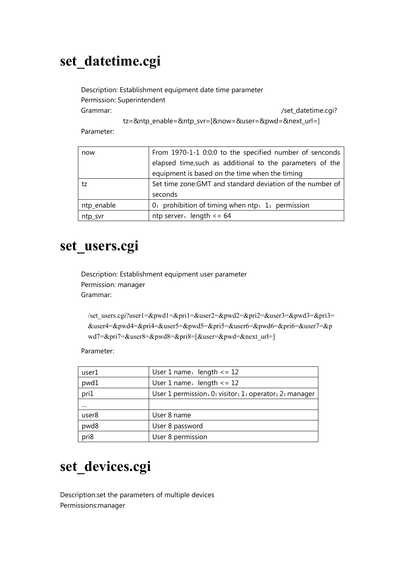# **set\_datetime.cgi**

Description: Establishment equipment date time parameter Permission: Superintendent Grammar: /set\_datetime.cgi?

tz=&ntp\_enable=&ntp\_svr=[&now=&user=&pwd=&next\_url=]

Parameter:

| now        | From 1970-1-1 0:0:0 to the specified number of senconds    |
|------------|------------------------------------------------------------|
|            | elapsed time, such as additional to the parameters of the  |
|            | equipment is based on the time when the timing             |
| tz         | Set time zone: GMT and standard deviation of the number of |
|            | seconds                                                    |
| ntp_enable | 0: prohibition of timing when ntp; 1: permission           |
| ntp_svr    | ntp server, length $\leq 64$                               |

#### **set\_users.cgi**

Description: Establishment equipment user parameter Permission: manager Grammar:

/set\_users.cgi?user1=&pwd1=&pri1=&user2=&pwd2=&pri2=&user3=&pwd3=&pri3= &user4=&pwd4=&pri4=&user5=&pwd5=&pri5=&user6=&pwd6=&pri6=&user7=&p wd7=&pri7=&user8=&pwd8=&pri8=[&user=&pwd=&next\_url=]

Parameter:

| user1    | User 1 name, $length < = 12$                           |
|----------|--------------------------------------------------------|
| pwd1     | User 1 name, $length < = 12$                           |
| pri1     | User 1 permission, 0: visitor; 1: operator; 2: manager |
| $\cdots$ |                                                        |
| user8    | User 8 name                                            |
| pwd8     | User 8 password                                        |
| pri8     | User 8 permission                                      |

# **set\_devices.cgi**

Description:set the parameters of multiple devices Permissions:manager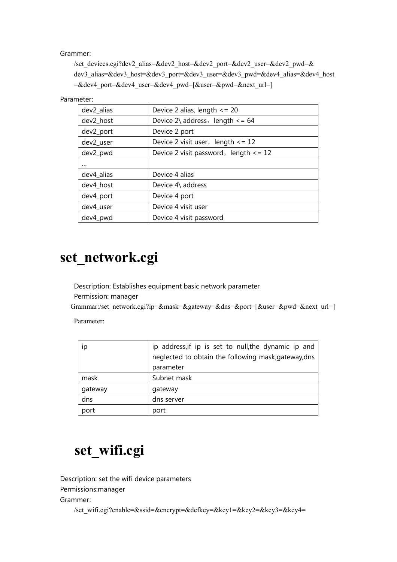Grammer:

/set\_devices.cgi?dev2\_alias=&dev2\_host=&dev2\_port=&dev2\_user=&dev2\_pwd=& dev3\_alias=&dev3\_host=&dev3\_port=&dev3\_user=&dev3\_pwd=&dev4\_alias=&dev4\_host =&dev4\_port=&dev4\_user=&dev4\_pwd=[&user=&pwd=&next\_url=]

Parameter:

| dev2_alias | Device 2 alias, length $\leq$ = 20          |
|------------|---------------------------------------------|
| dev2_host  | Device $2\backslash$ address, length <= 64  |
| dev2_port  | Device 2 port                               |
| dev2_user  | Device 2 visit user, length $\leq$ = 12     |
| dev2_pwd   | Device 2 visit password, length $\leq$ = 12 |
|            |                                             |
| dev4_alias | Device 4 alias                              |
| dev4_host  | Device 4\ address                           |
| dev4_port  | Device 4 port                               |
| dev4_user  | Device 4 visit user                         |
| dev4_pwd   | Device 4 visit password                     |

# **set\_network.cgi**

Description: Establishes equipment basic network parameter Permission: manager

Grammar:/set\_network.cgi?ip=&mask=&gateway=&dns=&port=[&user=&pwd=&next\_url=]

Parameter:

| ip      | ip address, if ip is set to null, the dynamic ip and |
|---------|------------------------------------------------------|
|         | neglected to obtain the following mask, gateway, dns |
|         | parameter                                            |
| mask    | Subnet mask                                          |
| gateway | gateway                                              |
| dns     | dns server                                           |
| port    | port                                                 |

## **set\_wifi.cgi**

Description: set the wifi device parameters Permissions:manager Grammer:

/set\_wifi.cgi?enable=&ssid=&encrypt=&defkey=&key1=&key2=&key3=&key4=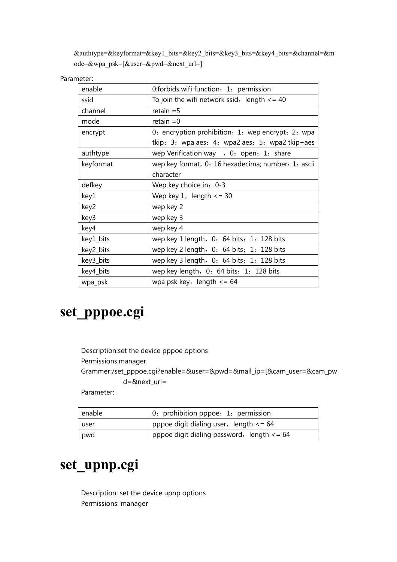&authtype=&keyformat=&key1\_bits=&key2\_bits=&key3\_bits=&key4\_bits=&channel=&m ode=&wpa\_psk=[&user=&pwd=&next\_url=]

Parameter:

| enable    | 0: forbids wifi function; 1: permission               |
|-----------|-------------------------------------------------------|
| ssid      | To join the wifi network ssid, length $\epsilon$ = 40 |
| channel   | retain $=$ 5                                          |
| mode      | retain $=0$                                           |
| encrypt   | 0: encryption prohibition; 1: wep encrypt; 2: wpa     |
|           | tkip; 3: wpa aes; 4: wpa2 aes; 5: wpa2 tkip+aes       |
| authtype  | wep Verification way , 0: open; 1: share              |
| keyformat | wep key format, 0: 16 hexadecima; number, 1: ascii    |
|           | character                                             |
| defkey    | Wep key choice in: 0-3                                |
| key1      | Wep key $1$ , length $\leq$ 30                        |
| key2      | wep key 2                                             |
| key3      | wep key 3                                             |
| key4      | wep key 4                                             |
| key1_bits | wep key 1 length, 0: 64 bits; 1: 128 bits             |
| key2_bits | wep key 2 length, 0: 64 bits; 1: 128 bits             |
| key3_bits | wep key 3 length, 0: 64 bits; 1: 128 bits             |
| key4_bits | wep key length, 0: 64 bits; 1: 128 bits               |
| wpa_psk   | wpa psk key, length $\leq$ 64                         |

# **set\_pppoe.cgi**

Description:set the device pppoe options Permissions:manager Grammer:/set\_pppoe.cgi?enable=&user=&pwd=&mail\_ip=[&cam\_user=&cam\_pw d=&next\_url=

Parameter:

| enable | 0: prohibition pppoe; 1: permission            |
|--------|------------------------------------------------|
| user   | pppoe digit dialing user, length $\leq$ = 64   |
| pwd    | pppoe digit dialing password, length $\leq$ 64 |

# **set\_upnp.cgi**

Description: set the device upnp options Permissions: manager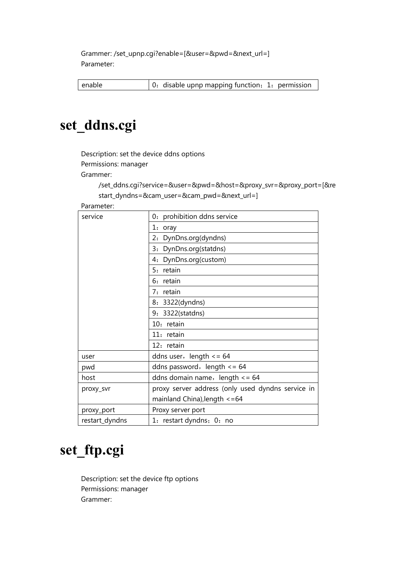Grammer: /set\_upnp.cgi?enable=[&user=&pwd=&next\_url=] Parameter:

enable  $\vert$  0: disable upnp mapping function; 1: permission

# **set\_ddns.cgi**

Description: set the device ddns options

Permissions: manager

Grammer:

/set\_ddns.cgi?service=&user=&pwd=&host=&proxy\_svr=&proxy\_port=[&re start\_dyndns=&cam\_user=&cam\_pwd=&next\_url=]

Parameter:

| service        | 0: prohibition ddns service                       |
|----------------|---------------------------------------------------|
|                | 1: oray                                           |
|                | 2: DynDns.org(dyndns)                             |
|                | 3: DynDns.org(statdns)                            |
|                | 4: DynDns.org(custom)                             |
|                | 5: retain                                         |
|                | 6: retain                                         |
|                | 7: retain                                         |
|                | 8: 3322(dyndns)                                   |
|                | 9: 3322(statdns)                                  |
|                | 10: retain                                        |
|                | 11: retain                                        |
|                | 12: retain                                        |
| user           | ddns user, length $\leq$ = 64                     |
| pwd            | ddns password, length $\leq$ 64                   |
| host           | ddns domain name, length $\leq$ = 64              |
| proxy_svr      | proxy server address (only used dyndns service in |
|                | mainland China), length $\epsilon$ =64            |
| proxy_port     | Proxy server port                                 |
| restart_dyndns | 1: restart dyndns; 0: no                          |

# **set\_ftp.cgi**

Description: set the device ftp options Permissions: manager Grammer: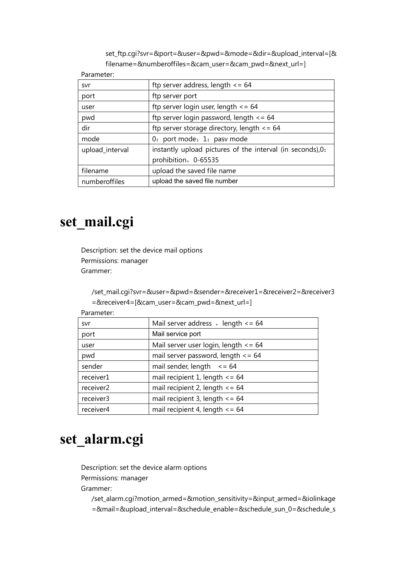set\_ftp.cgi?svr=&port=&user=&pwd=&mode=&dir=&upload\_interval=[& filename=&numberoffiles=&cam\_user=&cam\_pwd=&next\_url=]

Parameter:

| svr             | ftp server address, length $\leq 64$                       |
|-----------------|------------------------------------------------------------|
| port            | ftp server port                                            |
| user            | ftp server login user, length $\leq$ = 64                  |
| pwd             | ftp server login password, length $\leq$ = 64              |
| dir             | ftp server storage directory, length $\leq$ 64             |
| mode            | 0: port mode; 1: pasv mode                                 |
| upload_interval | instantly upload pictures of the interval (in seconds), 0: |
|                 | prohibition, 0-65535                                       |
| filename        | upload the saved file name                                 |
| numberoffiles   | upload the saved file number                               |

# **set\_mail.cgi**

Description: set the device mail options Permissions: manager Grammer:

/set\_mail.cgi?svr=&user=&pwd=&sender=&receiver1=&receiver2=&receiver3 =&receiver4=[&cam\_user=&cam\_pwd=&next\_url=]

| Mail server address, length $\leq$ = 64  |
|------------------------------------------|
| Mail service port                        |
| Mail server user login, length $\leq$ 64 |
| mail server password, length $\leq$ = 64 |
| mail sender, length $\leq 64$            |
| mail recipient 1, length $\le$ = 64      |
| mail recipient 2, length $\le$ = 64      |
| mail recipient 3, length $\le$ = 64      |
| mail recipient 4, length $\leq$ = 64     |
|                                          |

Parameter:

#### **set\_alarm.cgi**

Description: set the device alarm options

Permissions: manager

Grammer:

/set\_alarm.cgi?motion\_armed=&motion\_sensitivity=&input\_armed=&iolinkage =&mail=&upload\_interval=&schedule\_enable=&schedule\_sun\_0=&schedule\_s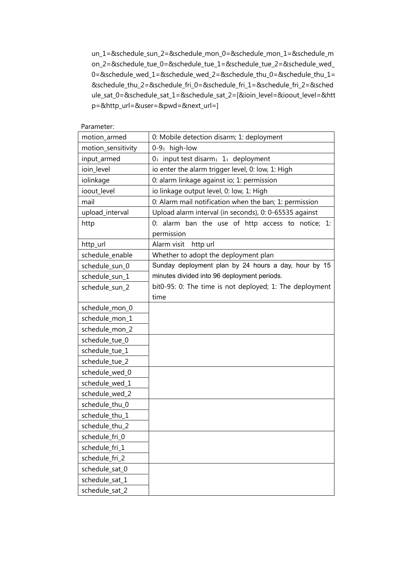un\_1=&schedule\_sun\_2=&schedule\_mon\_0=&schedule\_mon\_1=&schedule\_m on\_2=&schedule\_tue\_0=&schedule\_tue\_1=&schedule\_tue\_2=&schedule\_wed\_ 0=&schedule\_wed\_1=&schedule\_wed\_2=&schedule\_thu\_0=&schedule\_thu\_1= &schedule\_thu\_2=&schedule\_fri\_0=&schedule\_fri\_1=&schedule\_fri\_2=&sched ule\_sat\_0=&schedule\_sat\_1=&schedule\_sat\_2=[&ioin\_level=&ioout\_level=&htt p=&http\_url=&user=&pwd=&next\_url=]

| Parameter.         |                                                         |
|--------------------|---------------------------------------------------------|
| motion_armed       | 0: Mobile detection disarm; 1: deployment               |
| motion_sensitivity | 0-9: high-low                                           |
| input_armed        | 0: input test disarm; 1: deployment                     |
| ioin_level         | io enter the alarm trigger level, 0: low, 1: High       |
| iolinkage          | 0: alarm linkage against io; 1: permission              |
| ioout_level        | io linkage output level, 0: low, 1: High                |
| mail               | 0: Alarm mail notification when the ban; 1: permission  |
| upload_interval    | Upload alarm interval (in seconds), 0: 0-65535 against  |
| http               | 0: alarm ban the use of http access to notice; 1:       |
|                    | permission                                              |
| http_url           | Alarm visit<br>http url                                 |
| schedule_enable    | Whether to adopt the deployment plan                    |
| schedule_sun_0     | Sunday deployment plan by 24 hours a day, hour by 15    |
| schedule_sun_1     | minutes divided into 96 deployment periods.             |
| schedule_sun_2     | bit0-95: 0: The time is not deployed; 1: The deployment |
|                    | time                                                    |
| schedule_mon_0     |                                                         |
| schedule_mon_1     |                                                         |
| schedule_mon_2     |                                                         |
| schedule_tue_0     |                                                         |
| schedule_tue_1     |                                                         |
| schedule_tue_2     |                                                         |
| schedule_wed_0     |                                                         |
| schedule_wed_1     |                                                         |
| schedule_wed_2     |                                                         |
| schedule_thu_0     |                                                         |
| schedule_thu_1     |                                                         |
| schedule_thu_2     |                                                         |
| schedule_fri_0     |                                                         |
| schedule_fri_1     |                                                         |
| schedule_fri_2     |                                                         |
| schedule_sat_0     |                                                         |
| schedule_sat_1     |                                                         |
| schedule_sat_2     |                                                         |

Parameter: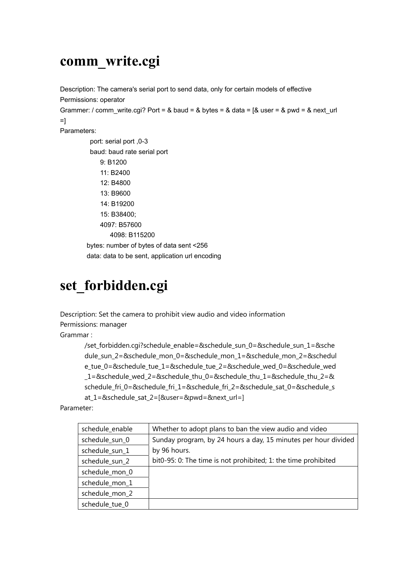# **comm\_write.cgi**

Description: The camera's serial port to send data, only for certain models of effective Permissions: operator Grammer: / comm\_write.cgi? Port = & baud = & bytes = & data = [& user = & pwd = & next\_url  $=$ ] Parameters: port: serial port, 0-3 baud: baud rate serial port 9: B1200 11: B2400 12: B4800 13: B9600 14: B19200 15: B38400; 4097: B57600 4098: B115200 bytes: number of bytes of data sent <256 data: data to be sent, application url encoding

# **set\_forbidden.cgi**

Description: Set the camera to prohibit view audio and video information Permissions: manager

Grammar :

/set\_forbidden.cgi?schedule\_enable=&schedule\_sun\_0=&schedule\_sun\_1=&sche dule sun 2=&schedule mon 0=&schedule mon 1=&schedule mon 2=&schedul e\_tue\_0=&schedule\_tue\_1=&schedule\_tue\_2=&schedule\_wed\_0=&schedule\_wed \_1=&schedule\_wed\_2=&schedule\_thu\_0=&schedule\_thu\_1=&schedule\_thu\_2=& schedule\_fri\_0=&schedule\_fri\_1=&schedule\_fri\_2=&schedule\_sat\_0=&schedule\_s at\_1=&schedule\_sat\_2=[&user=&pwd=&next\_url=]

Parameter:

| schedule_enable | Whether to adopt plans to ban the view audio and video         |
|-----------------|----------------------------------------------------------------|
| schedule_sun_0  | Sunday program, by 24 hours a day, 15 minutes per hour divided |
| schedule_sun_1  | by 96 hours.                                                   |
| schedule_sun_2  | bit0-95: 0: The time is not prohibited; 1: the time prohibited |
| schedule_mon_0  |                                                                |
| schedule_mon_1  |                                                                |
| schedule_mon_2  |                                                                |
| schedule tue 0  |                                                                |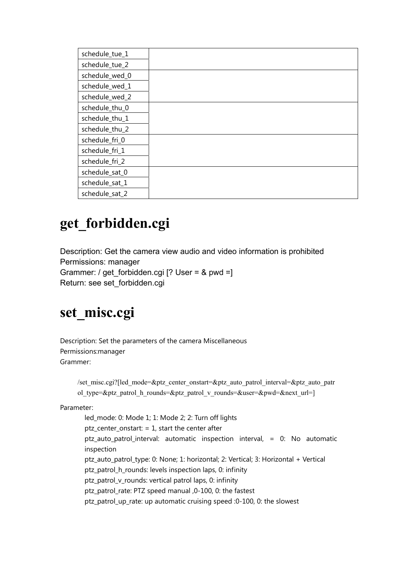| schedule_tue_1 |  |
|----------------|--|
| schedule_tue_2 |  |
| schedule_wed_0 |  |
| schedule_wed_1 |  |
| schedule_wed_2 |  |
| schedule_thu_0 |  |
| schedule_thu_1 |  |
| schedule_thu_2 |  |
| schedule_fri_0 |  |
| schedule_fri_1 |  |
| schedule_fri_2 |  |
| schedule_sat_0 |  |
| schedule_sat_1 |  |
| schedule_sat_2 |  |

# **get\_forbidden.cgi**

Description: Get the camera view audio and video information is prohibited Permissions: manager Grammer: / get forbidden.cgi [? User = & pwd =] Return: see set\_forbidden.cgi

# **set\_misc.cgi**

Description: Set the parameters of the camera Miscellaneous Permissions:manager Grammer:

```
/set_misc.cgi?[led_mode=&ptz_center_onstart=&ptz_auto_patrol_interval=&ptz_auto_patr
ol type=&ptz_patrol_h_rounds=&ptz_patrol_v_rounds=&user=&pwd=&next_url=]
```
Parameter:

 led\_mode: 0: Mode 1; 1: Mode 2; 2: Turn off lights ptz center onstart:  $= 1$ , start the center after ptz auto patrol interval: automatic inspection interval,  $= 0$ : No automatic inspection ptz\_auto\_patrol\_type: 0: None; 1: horizontal; 2: Vertical; 3: Horizontal + Vertical ptz\_patrol\_h\_rounds: levels inspection laps, 0: infinity ptz patrol v rounds: vertical patrol laps, 0: infinity ptz patrol rate: PTZ speed manual ,0-100, 0: the fastest ptz\_patrol\_up\_rate: up automatic cruising speed :0-100, 0: the slowest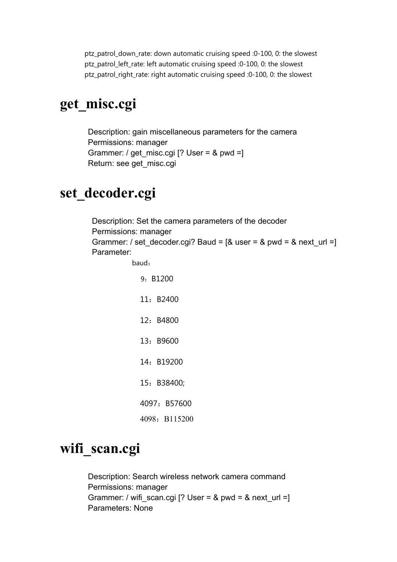ptz\_patrol\_down\_rate: down automatic cruising speed :0-100, 0: the slowest ptz\_patrol\_left\_rate: left automatic cruising speed :0-100, 0: the slowest ptz\_patrol\_right\_rate: right automatic cruising speed :0-100, 0: the slowest

#### **get\_misc.cgi**

Description: gain miscellaneous parameters for the camera Permissions: manager Grammer: / get misc.cgi [? User = & pwd =] Return: see get\_misc.cgi

#### **set\_decoder.cgi**

Description: Set the camera parameters of the decoder Permissions: manager Grammer: / set\_decoder.cgi? Baud =  $[&$  user =  $&$  pwd =  $&$  next\_url =] Parameter:

baud:

 9:B1200 11:B2400 12:B4800 13:B9600 14:B19200 15:B38400; 4097: B57600 4098: B115200

#### **wifi\_scan.cgi**

Description: Search wireless network camera command Permissions: manager Grammer: / wifi\_scan.cgi [? User = & pwd = & next\_url =] Parameters: None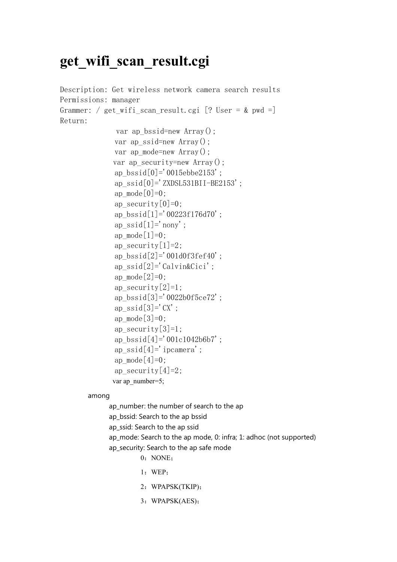#### **get\_wifi\_scan\_result.cgi**

```
Description: Get wireless network camera search results 
Permissions: manager 
Grammer: / get wifi scan result.cgi [? User = & pwd =]
Return: 
              var ap bssid=new Array();
               var ap_ssid=new Array(); 
              var ap mode=new Array();
              var ap security=new Array();
              ap_bssid[0]='0015ebbe2153';
              ap ssid[0]='ZXDSL531BII-BE2153';
              ap mode[0]=0;
              ap security[0]=0;
               ap_bssid[1]='00223f176d70'; 
              ap_ssid[1]='nony';
              ap mode[1]=0;
              ap security[1]=2;
              ap bssid[2]='001d0f3fef40';
              ap ssid[2]='Calvin&Cici';
              ap mode[2]=0;
               ap_security[2]=1; 
              ap bssid[3]='0022b0f5ce72';
              ap ssid[3]='CX;
              ap mode[3]=0;
              ap security\lceil 3 \rceil = 1;
              ap bssid[4]='001c1042b6b7';
              ap ssid[4]='ipcamera';
              ap mode[4]=0;
              ap security[4]=2;
              var ap_number=5;
```
among

ap number: the number of search to the ap ap\_bssid: Search to the ap bssid ap\_ssid: Search to the ap ssid ap\_mode: Search to the ap mode, 0: infra; 1: adhoc (not supported) ap\_security: Search to the ap safe mode

- 0: NONE:
- 1:WEP;
- 2:WPAPSK(TKIP);
- 3:WPAPSK(AES);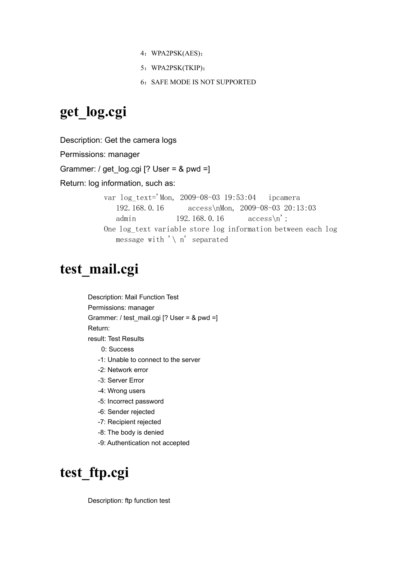- 4:WPA2PSK(AES);
- 5:WPA2PSK(TKIP);
- 6: SAFE MODE IS NOT SUPPORTED

# **get\_log.cgi**

Description: Get the camera logs Permissions: manager Grammer: / get\_log.cgi [? User = & pwd =] Return: log information, such as: var log\_text='Mon, 2009-08-03 19:53:04 ipcamera

```
192.168.0.16 access\nMon, 2009-08-03 20:13:03 
   admin 192.168.0.16 access\n';
One log_text variable store log information between each log 
   message with \prime \setminus n' separated
```
### **test\_mail.cgi**

Description: Mail Function Test Permissions: manager Grammer: / test\_mail.cgi [? User = & pwd =] Return: result: Test Results 0: Success -1: Unable to connect to the server -2: Network error -3: Server Error -4: Wrong users -5: Incorrect password -6: Sender rejected

- -7: Recipient rejected
- -8: The body is denied
- -9: Authentication not accepted

# **test\_ftp.cgi**

Description: ftp function test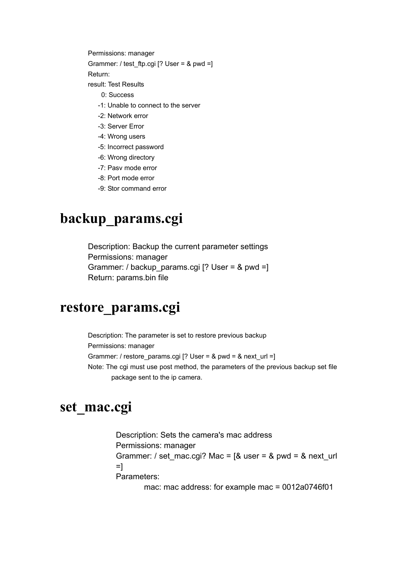Permissions: manager

Grammer: / test ftp.cgi  $[?$  User = & pwd =]

Return:

result: Test Results

- 0: Success
- -1: Unable to connect to the server
- -2: Network error
- -3: Server Error
- -4: Wrong users
- -5: Incorrect password
- -6: Wrong directory
- -7: Pasv mode error
- -8: Port mode error
- -9: Stor command error

# **backup\_params.cgi**

Description: Backup the current parameter settings Permissions: manager Grammer: / backup\_params.cgi [? User = & pwd =] Return: params.bin file

#### **restore\_params.cgi**

Description: The parameter is set to restore previous backup Permissions: manager Grammer: / restore\_params.cgi  $[?$  User = & pwd = & next\_url =] Note: The cgi must use post method, the parameters of the previous backup set file package sent to the ip camera.

#### **set\_mac.cgi**

Description: Sets the camera's mac address Permissions: manager Grammer: / set\_mac.cgi? Mac =  $[&$  user = & pwd = & next\_url  $=$ ] Parameters:

mac: mac address: for example mac = 0012a0746f01